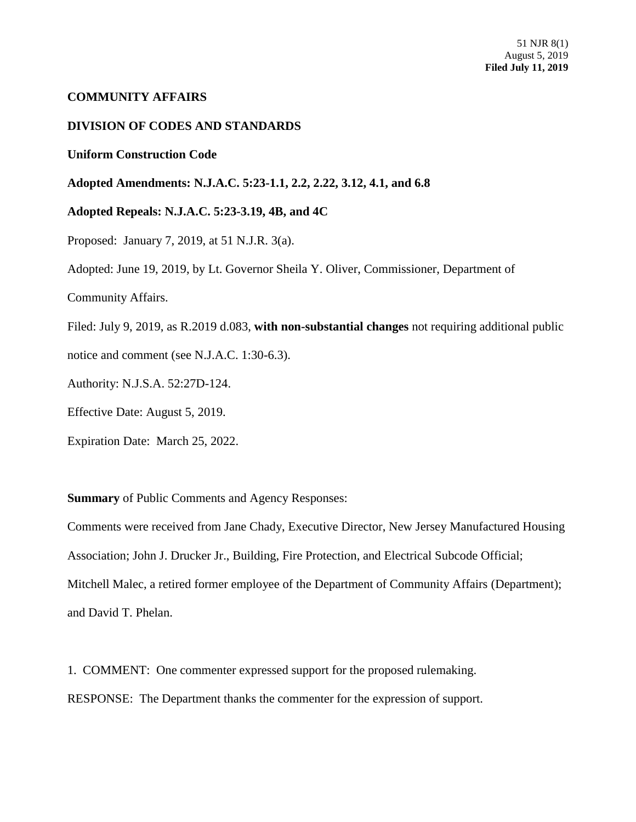# **COMMUNITY AFFAIRS**

## **DIVISION OF CODES AND STANDARDS**

### **Uniform Construction Code**

**Adopted Amendments: N.J.A.C. 5:23-1.1, 2.2, 2.22, 3.12, 4.1, and 6.8**

### **Adopted Repeals: N.J.A.C. 5:23-3.19, 4B, and 4C**

Proposed: January 7, 2019, at 51 N.J.R. 3(a).

Adopted: June 19, 2019, by Lt. Governor Sheila Y. Oliver, Commissioner, Department of

Community Affairs.

Filed: July 9, 2019, as R.2019 d.083, **with non-substantial changes** not requiring additional public notice and comment (see N.J.A.C. 1:30-6.3).

Authority: N.J.S.A. 52:27D-124.

Effective Date: August 5, 2019.

Expiration Date: March 25, 2022.

**Summary** of Public Comments and Agency Responses:

Comments were received from Jane Chady, Executive Director, New Jersey Manufactured Housing Association; John J. Drucker Jr., Building, Fire Protection, and Electrical Subcode Official; Mitchell Malec, a retired former employee of the Department of Community Affairs (Department); and David T. Phelan.

1. COMMENT: One commenter expressed support for the proposed rulemaking. RESPONSE: The Department thanks the commenter for the expression of support.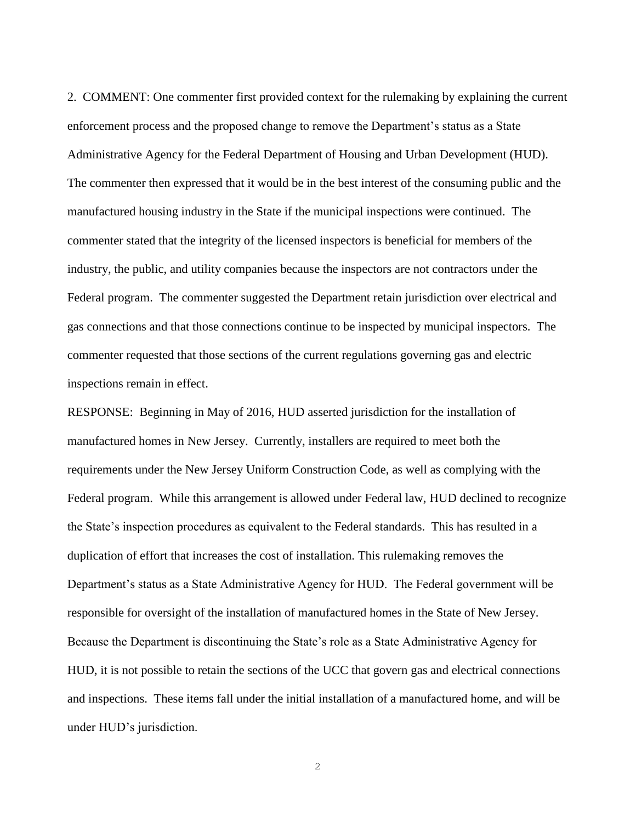2. COMMENT: One commenter first provided context for the rulemaking by explaining the current enforcement process and the proposed change to remove the Department's status as a State Administrative Agency for the Federal Department of Housing and Urban Development (HUD). The commenter then expressed that it would be in the best interest of the consuming public and the manufactured housing industry in the State if the municipal inspections were continued. The commenter stated that the integrity of the licensed inspectors is beneficial for members of the industry, the public, and utility companies because the inspectors are not contractors under the Federal program. The commenter suggested the Department retain jurisdiction over electrical and gas connections and that those connections continue to be inspected by municipal inspectors. The commenter requested that those sections of the current regulations governing gas and electric inspections remain in effect.

RESPONSE: Beginning in May of 2016, HUD asserted jurisdiction for the installation of manufactured homes in New Jersey. Currently, installers are required to meet both the requirements under the New Jersey Uniform Construction Code, as well as complying with the Federal program. While this arrangement is allowed under Federal law, HUD declined to recognize the State's inspection procedures as equivalent to the Federal standards. This has resulted in a duplication of effort that increases the cost of installation. This rulemaking removes the Department's status as a State Administrative Agency for HUD. The Federal government will be responsible for oversight of the installation of manufactured homes in the State of New Jersey. Because the Department is discontinuing the State's role as a State Administrative Agency for HUD, it is not possible to retain the sections of the UCC that govern gas and electrical connections and inspections. These items fall under the initial installation of a manufactured home, and will be under HUD's jurisdiction.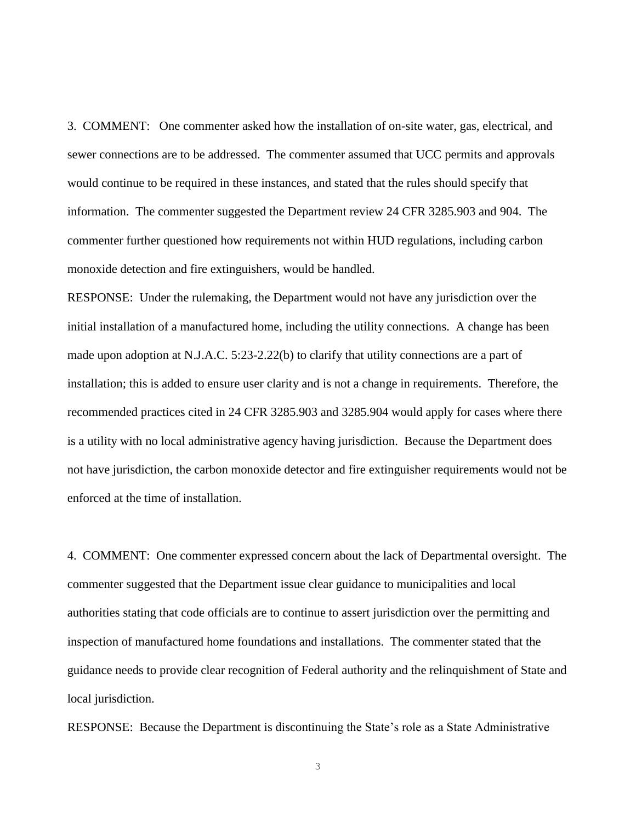3. COMMENT: One commenter asked how the installation of on-site water, gas, electrical, and sewer connections are to be addressed. The commenter assumed that UCC permits and approvals would continue to be required in these instances, and stated that the rules should specify that information. The commenter suggested the Department review 24 CFR 3285.903 and 904. The commenter further questioned how requirements not within HUD regulations, including carbon monoxide detection and fire extinguishers, would be handled.

RESPONSE: Under the rulemaking, the Department would not have any jurisdiction over the initial installation of a manufactured home, including the utility connections. A change has been made upon adoption at N.J.A.C. 5:23-2.22(b) to clarify that utility connections are a part of installation; this is added to ensure user clarity and is not a change in requirements. Therefore, the recommended practices cited in 24 CFR 3285.903 and 3285.904 would apply for cases where there is a utility with no local administrative agency having jurisdiction. Because the Department does not have jurisdiction, the carbon monoxide detector and fire extinguisher requirements would not be enforced at the time of installation.

4. COMMENT: One commenter expressed concern about the lack of Departmental oversight. The commenter suggested that the Department issue clear guidance to municipalities and local authorities stating that code officials are to continue to assert jurisdiction over the permitting and inspection of manufactured home foundations and installations. The commenter stated that the guidance needs to provide clear recognition of Federal authority and the relinquishment of State and local jurisdiction.

RESPONSE: Because the Department is discontinuing the State's role as a State Administrative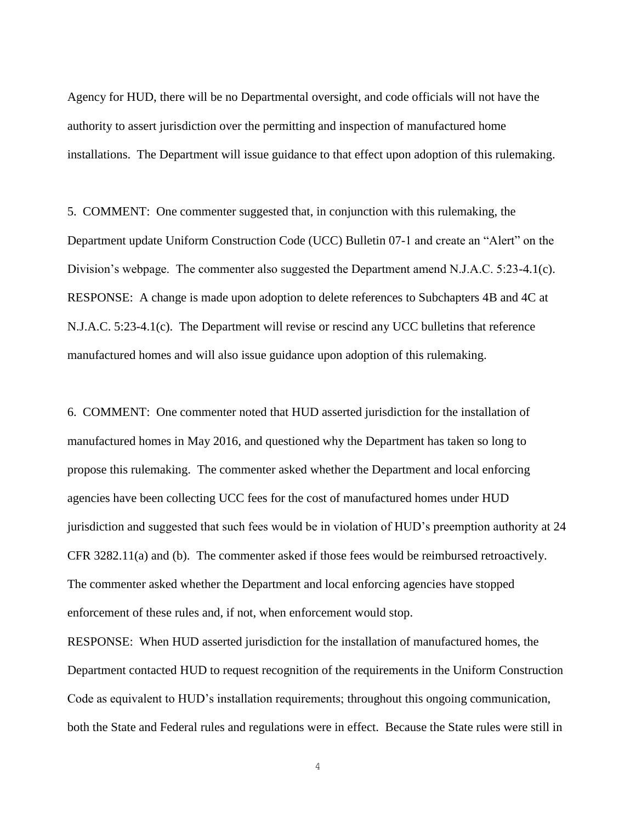Agency for HUD, there will be no Departmental oversight, and code officials will not have the authority to assert jurisdiction over the permitting and inspection of manufactured home installations. The Department will issue guidance to that effect upon adoption of this rulemaking.

5. COMMENT: One commenter suggested that, in conjunction with this rulemaking, the Department update Uniform Construction Code (UCC) Bulletin 07-1 and create an "Alert" on the Division's webpage. The commenter also suggested the Department amend N.J.A.C. 5:23-4.1(c). RESPONSE: A change is made upon adoption to delete references to Subchapters 4B and 4C at N.J.A.C. 5:23-4.1(c). The Department will revise or rescind any UCC bulletins that reference manufactured homes and will also issue guidance upon adoption of this rulemaking.

6. COMMENT: One commenter noted that HUD asserted jurisdiction for the installation of manufactured homes in May 2016, and questioned why the Department has taken so long to propose this rulemaking. The commenter asked whether the Department and local enforcing agencies have been collecting UCC fees for the cost of manufactured homes under HUD jurisdiction and suggested that such fees would be in violation of HUD's preemption authority at 24 CFR 3282.11(a) and (b). The commenter asked if those fees would be reimbursed retroactively. The commenter asked whether the Department and local enforcing agencies have stopped enforcement of these rules and, if not, when enforcement would stop.

RESPONSE: When HUD asserted jurisdiction for the installation of manufactured homes, the Department contacted HUD to request recognition of the requirements in the Uniform Construction Code as equivalent to HUD's installation requirements; throughout this ongoing communication, both the State and Federal rules and regulations were in effect. Because the State rules were still in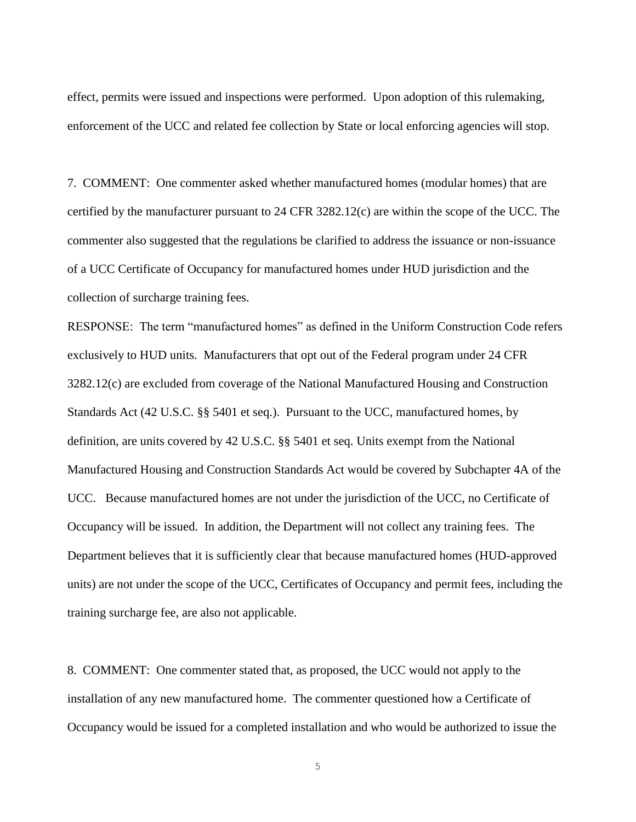effect, permits were issued and inspections were performed. Upon adoption of this rulemaking, enforcement of the UCC and related fee collection by State or local enforcing agencies will stop.

7. COMMENT: One commenter asked whether manufactured homes (modular homes) that are certified by the manufacturer pursuant to 24 CFR 3282.12(c) are within the scope of the UCC. The commenter also suggested that the regulations be clarified to address the issuance or non-issuance of a UCC Certificate of Occupancy for manufactured homes under HUD jurisdiction and the collection of surcharge training fees.

RESPONSE: The term "manufactured homes" as defined in the Uniform Construction Code refers exclusively to HUD units. Manufacturers that opt out of the Federal program under 24 CFR 3282.12(c) are excluded from coverage of the National Manufactured Housing and Construction Standards Act (42 U.S.C. §§ 5401 et seq.). Pursuant to the UCC, manufactured homes, by definition, are units covered by 42 U.S.C. §§ 5401 et seq. Units exempt from the National Manufactured Housing and Construction Standards Act would be covered by Subchapter 4A of the UCC. Because manufactured homes are not under the jurisdiction of the UCC, no Certificate of Occupancy will be issued. In addition, the Department will not collect any training fees. The Department believes that it is sufficiently clear that because manufactured homes (HUD-approved units) are not under the scope of the UCC, Certificates of Occupancy and permit fees, including the training surcharge fee, are also not applicable.

8. COMMENT: One commenter stated that, as proposed, the UCC would not apply to the installation of any new manufactured home. The commenter questioned how a Certificate of Occupancy would be issued for a completed installation and who would be authorized to issue the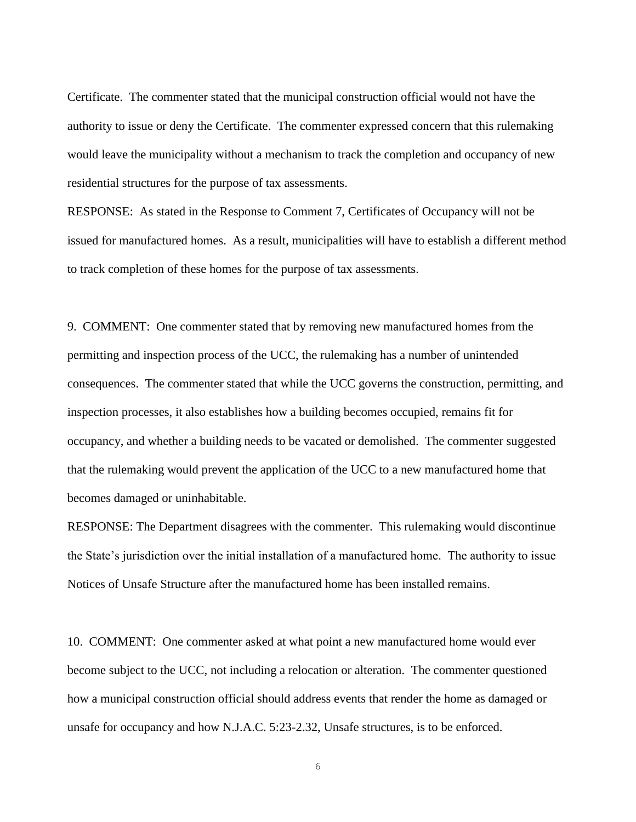Certificate. The commenter stated that the municipal construction official would not have the authority to issue or deny the Certificate. The commenter expressed concern that this rulemaking would leave the municipality without a mechanism to track the completion and occupancy of new residential structures for the purpose of tax assessments.

RESPONSE: As stated in the Response to Comment 7, Certificates of Occupancy will not be issued for manufactured homes. As a result, municipalities will have to establish a different method to track completion of these homes for the purpose of tax assessments.

9. COMMENT: One commenter stated that by removing new manufactured homes from the permitting and inspection process of the UCC, the rulemaking has a number of unintended consequences. The commenter stated that while the UCC governs the construction, permitting, and inspection processes, it also establishes how a building becomes occupied, remains fit for occupancy, and whether a building needs to be vacated or demolished. The commenter suggested that the rulemaking would prevent the application of the UCC to a new manufactured home that becomes damaged or uninhabitable.

RESPONSE: The Department disagrees with the commenter. This rulemaking would discontinue the State's jurisdiction over the initial installation of a manufactured home. The authority to issue Notices of Unsafe Structure after the manufactured home has been installed remains.

10. COMMENT: One commenter asked at what point a new manufactured home would ever become subject to the UCC, not including a relocation or alteration. The commenter questioned how a municipal construction official should address events that render the home as damaged or unsafe for occupancy and how N.J.A.C. 5:23-2.32, Unsafe structures, is to be enforced.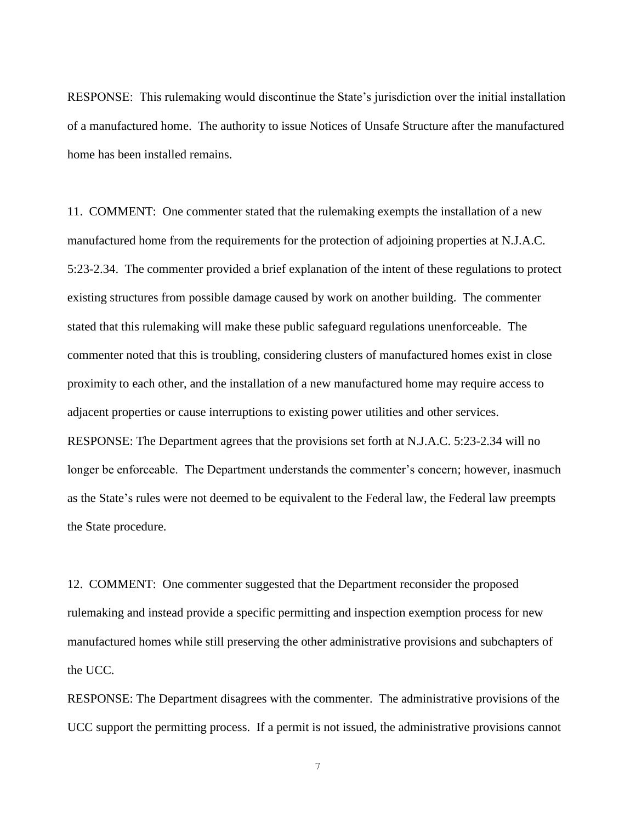RESPONSE: This rulemaking would discontinue the State's jurisdiction over the initial installation of a manufactured home. The authority to issue Notices of Unsafe Structure after the manufactured home has been installed remains.

11. COMMENT: One commenter stated that the rulemaking exempts the installation of a new manufactured home from the requirements for the protection of adjoining properties at N.J.A.C. 5:23-2.34. The commenter provided a brief explanation of the intent of these regulations to protect existing structures from possible damage caused by work on another building. The commenter stated that this rulemaking will make these public safeguard regulations unenforceable. The commenter noted that this is troubling, considering clusters of manufactured homes exist in close proximity to each other, and the installation of a new manufactured home may require access to adjacent properties or cause interruptions to existing power utilities and other services. RESPONSE: The Department agrees that the provisions set forth at N.J.A.C. 5:23-2.34 will no longer be enforceable. The Department understands the commenter's concern; however, inasmuch as the State's rules were not deemed to be equivalent to the Federal law, the Federal law preempts the State procedure.

12. COMMENT: One commenter suggested that the Department reconsider the proposed rulemaking and instead provide a specific permitting and inspection exemption process for new manufactured homes while still preserving the other administrative provisions and subchapters of the UCC.

RESPONSE: The Department disagrees with the commenter. The administrative provisions of the UCC support the permitting process. If a permit is not issued, the administrative provisions cannot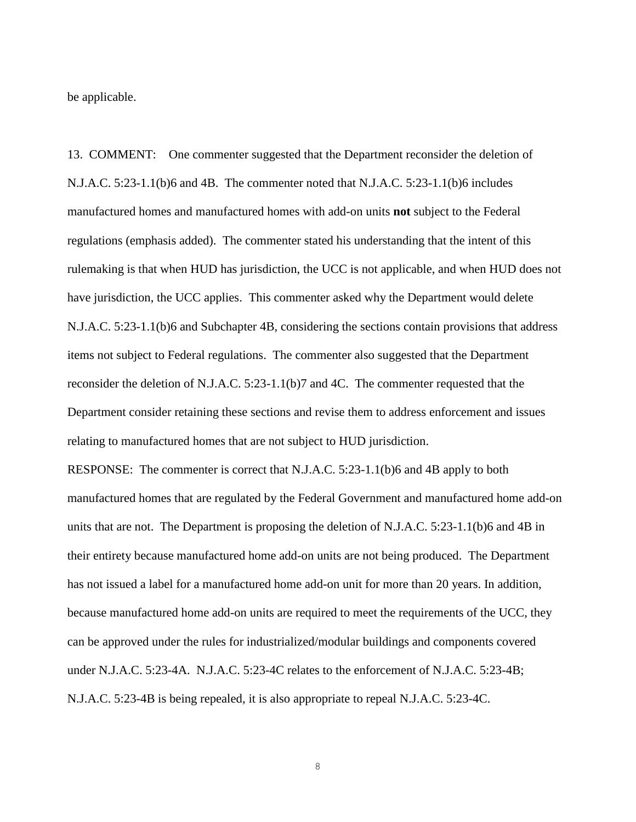be applicable.

13. COMMENT: One commenter suggested that the Department reconsider the deletion of N.J.A.C. 5:23-1.1(b)6 and 4B. The commenter noted that N.J.A.C. 5:23-1.1(b)6 includes manufactured homes and manufactured homes with add-on units **not** subject to the Federal regulations (emphasis added). The commenter stated his understanding that the intent of this rulemaking is that when HUD has jurisdiction, the UCC is not applicable, and when HUD does not have jurisdiction, the UCC applies. This commenter asked why the Department would delete N.J.A.C. 5:23-1.1(b)6 and Subchapter 4B, considering the sections contain provisions that address items not subject to Federal regulations. The commenter also suggested that the Department reconsider the deletion of N.J.A.C. 5:23-1.1(b)7 and 4C. The commenter requested that the Department consider retaining these sections and revise them to address enforcement and issues relating to manufactured homes that are not subject to HUD jurisdiction.

RESPONSE: The commenter is correct that N.J.A.C. 5:23-1.1(b)6 and 4B apply to both manufactured homes that are regulated by the Federal Government and manufactured home add-on units that are not. The Department is proposing the deletion of N.J.A.C. 5:23-1.1(b)6 and 4B in their entirety because manufactured home add-on units are not being produced. The Department has not issued a label for a manufactured home add-on unit for more than 20 years. In addition, because manufactured home add-on units are required to meet the requirements of the UCC, they can be approved under the rules for industrialized/modular buildings and components covered under N.J.A.C. 5:23-4A. N.J.A.C. 5:23-4C relates to the enforcement of N.J.A.C. 5:23-4B; N.J.A.C. 5:23-4B is being repealed, it is also appropriate to repeal N.J.A.C. 5:23-4C.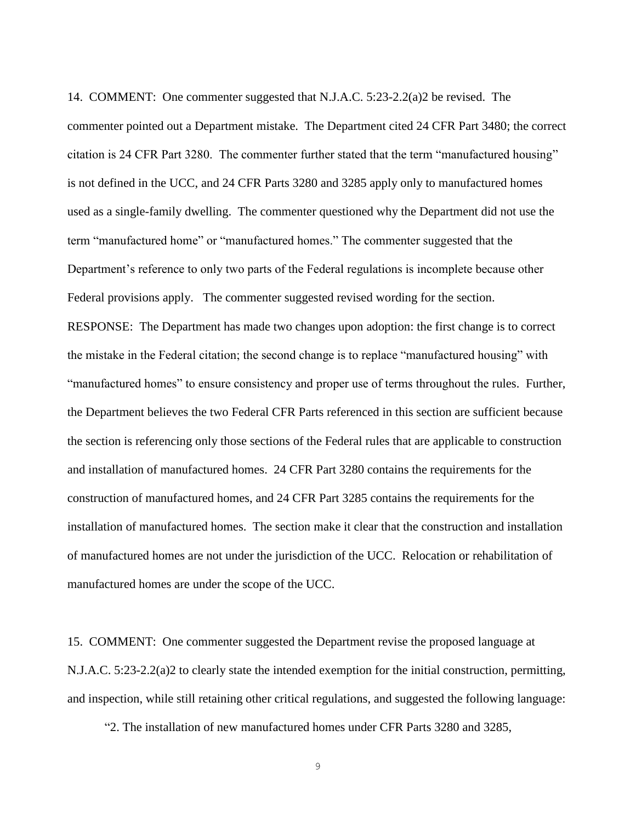14. COMMENT: One commenter suggested that N.J.A.C. 5:23-2.2(a)2 be revised. The commenter pointed out a Department mistake. The Department cited 24 CFR Part 3480; the correct citation is 24 CFR Part 3280. The commenter further stated that the term "manufactured housing" is not defined in the UCC, and 24 CFR Parts 3280 and 3285 apply only to manufactured homes used as a single-family dwelling. The commenter questioned why the Department did not use the term "manufactured home" or "manufactured homes." The commenter suggested that the Department's reference to only two parts of the Federal regulations is incomplete because other Federal provisions apply. The commenter suggested revised wording for the section. RESPONSE: The Department has made two changes upon adoption: the first change is to correct the mistake in the Federal citation; the second change is to replace "manufactured housing" with "manufactured homes" to ensure consistency and proper use of terms throughout the rules. Further, the Department believes the two Federal CFR Parts referenced in this section are sufficient because the section is referencing only those sections of the Federal rules that are applicable to construction and installation of manufactured homes. 24 CFR Part 3280 contains the requirements for the construction of manufactured homes, and 24 CFR Part 3285 contains the requirements for the installation of manufactured homes. The section make it clear that the construction and installation of manufactured homes are not under the jurisdiction of the UCC. Relocation or rehabilitation of manufactured homes are under the scope of the UCC.

15. COMMENT: One commenter suggested the Department revise the proposed language at N.J.A.C. 5:23-2.2(a)2 to clearly state the intended exemption for the initial construction, permitting, and inspection, while still retaining other critical regulations, and suggested the following language:

"2. The installation of new manufactured homes under CFR Parts 3280 and 3285,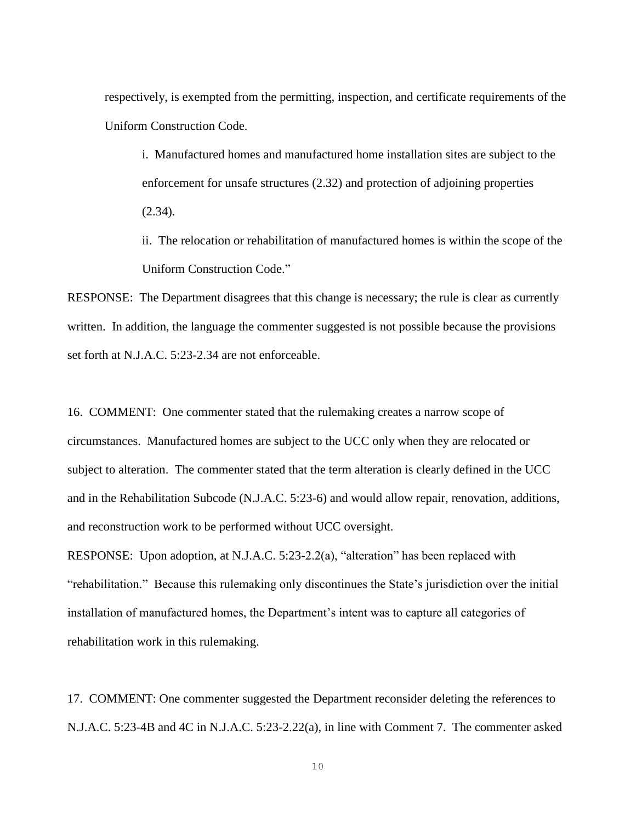respectively, is exempted from the permitting, inspection, and certificate requirements of the Uniform Construction Code.

i. Manufactured homes and manufactured home installation sites are subject to the enforcement for unsafe structures (2.32) and protection of adjoining properties  $(2.34)$ .

ii. The relocation or rehabilitation of manufactured homes is within the scope of the Uniform Construction Code."

RESPONSE: The Department disagrees that this change is necessary; the rule is clear as currently written. In addition, the language the commenter suggested is not possible because the provisions set forth at N.J.A.C. 5:23-2.34 are not enforceable.

16. COMMENT: One commenter stated that the rulemaking creates a narrow scope of circumstances. Manufactured homes are subject to the UCC only when they are relocated or subject to alteration. The commenter stated that the term alteration is clearly defined in the UCC and in the Rehabilitation Subcode (N.J.A.C. 5:23-6) and would allow repair, renovation, additions, and reconstruction work to be performed without UCC oversight.

RESPONSE: Upon adoption, at N.J.A.C. 5:23-2.2(a), "alteration" has been replaced with "rehabilitation." Because this rulemaking only discontinues the State's jurisdiction over the initial installation of manufactured homes, the Department's intent was to capture all categories of rehabilitation work in this rulemaking.

17. COMMENT: One commenter suggested the Department reconsider deleting the references to N.J.A.C. 5:23-4B and 4C in N.J.A.C. 5:23-2.22(a), in line with Comment 7. The commenter asked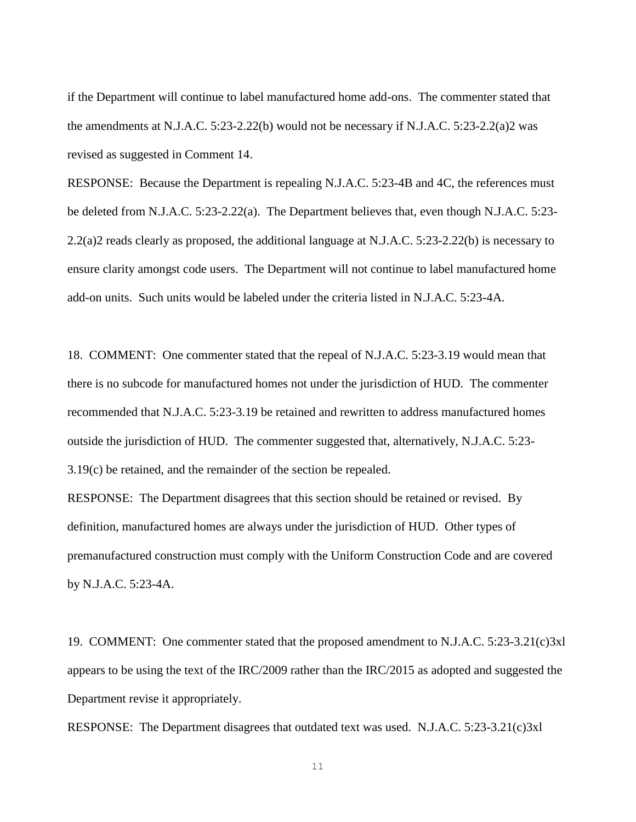if the Department will continue to label manufactured home add-ons. The commenter stated that the amendments at N.J.A.C. 5:23-2.22(b) would not be necessary if N.J.A.C. 5:23-2.2(a)2 was revised as suggested in Comment 14.

RESPONSE: Because the Department is repealing N.J.A.C. 5:23-4B and 4C, the references must be deleted from N.J.A.C. 5:23-2.22(a). The Department believes that, even though N.J.A.C. 5:23- 2.2(a)2 reads clearly as proposed, the additional language at N.J.A.C. 5:23-2.22(b) is necessary to ensure clarity amongst code users. The Department will not continue to label manufactured home add-on units. Such units would be labeled under the criteria listed in N.J.A.C. 5:23-4A.

18. COMMENT: One commenter stated that the repeal of N.J.A.C. 5:23-3.19 would mean that there is no subcode for manufactured homes not under the jurisdiction of HUD. The commenter recommended that N.J.A.C. 5:23-3.19 be retained and rewritten to address manufactured homes outside the jurisdiction of HUD. The commenter suggested that, alternatively, N.J.A.C. 5:23- 3.19(c) be retained, and the remainder of the section be repealed.

RESPONSE: The Department disagrees that this section should be retained or revised. By definition, manufactured homes are always under the jurisdiction of HUD. Other types of premanufactured construction must comply with the Uniform Construction Code and are covered by N.J.A.C. 5:23-4A.

19. COMMENT: One commenter stated that the proposed amendment to N.J.A.C. 5:23-3.21(c)3xl appears to be using the text of the IRC/2009 rather than the IRC/2015 as adopted and suggested the Department revise it appropriately.

RESPONSE: The Department disagrees that outdated text was used. N.J.A.C. 5:23-3.21(c)3xl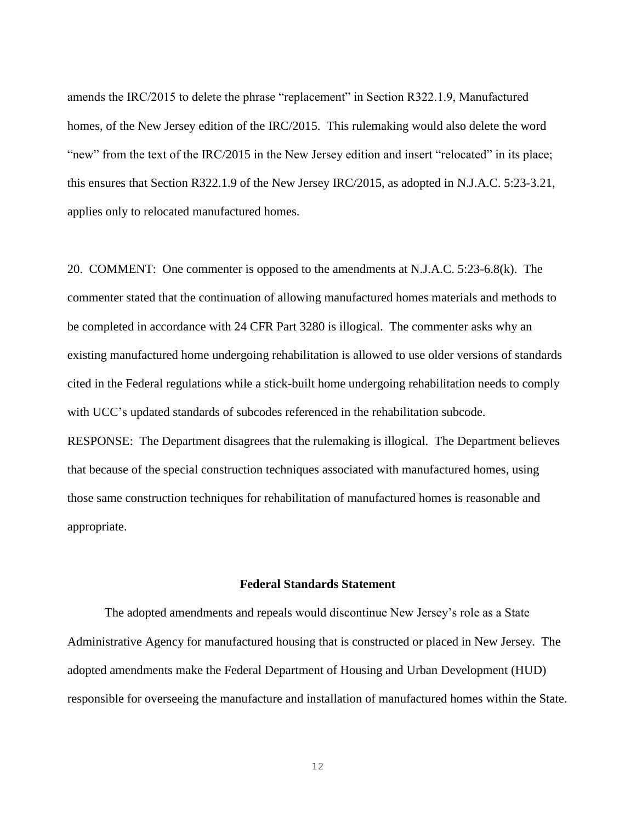amends the IRC/2015 to delete the phrase "replacement" in Section R322.1.9, Manufactured homes, of the New Jersey edition of the IRC/2015. This rulemaking would also delete the word "new" from the text of the IRC/2015 in the New Jersey edition and insert "relocated" in its place; this ensures that Section R322.1.9 of the New Jersey IRC/2015, as adopted in N.J.A.C. 5:23-3.21, applies only to relocated manufactured homes.

20. COMMENT: One commenter is opposed to the amendments at N.J.A.C. 5:23-6.8(k). The commenter stated that the continuation of allowing manufactured homes materials and methods to be completed in accordance with 24 CFR Part 3280 is illogical. The commenter asks why an existing manufactured home undergoing rehabilitation is allowed to use older versions of standards cited in the Federal regulations while a stick-built home undergoing rehabilitation needs to comply with UCC's updated standards of subcodes referenced in the rehabilitation subcode.

RESPONSE: The Department disagrees that the rulemaking is illogical. The Department believes that because of the special construction techniques associated with manufactured homes, using those same construction techniques for rehabilitation of manufactured homes is reasonable and appropriate.

#### **Federal Standards Statement**

The adopted amendments and repeals would discontinue New Jersey's role as a State Administrative Agency for manufactured housing that is constructed or placed in New Jersey. The adopted amendments make the Federal Department of Housing and Urban Development (HUD) responsible for overseeing the manufacture and installation of manufactured homes within the State.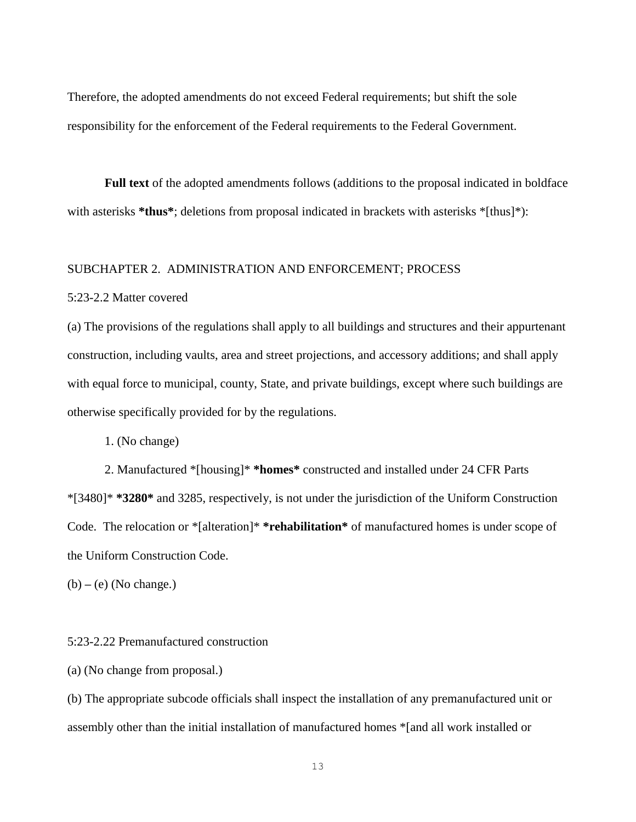Therefore, the adopted amendments do not exceed Federal requirements; but shift the sole responsibility for the enforcement of the Federal requirements to the Federal Government.

**Full text** of the adopted amendments follows (additions to the proposal indicated in boldface with asterisks \***thus**\*; deletions from proposal indicated in brackets with asterisks \*[thus]\*):

### SUBCHAPTER 2. ADMINISTRATION AND ENFORCEMENT; PROCESS

### 5:23-2.2 Matter covered

(a) The provisions of the regulations shall apply to all buildings and structures and their appurtenant construction, including vaults, area and street projections, and accessory additions; and shall apply with equal force to municipal, county, State, and private buildings, except where such buildings are otherwise specifically provided for by the regulations.

1. (No change)

2. Manufactured \*[housing]\* **\*homes\*** constructed and installed under 24 CFR Parts \*[3480]\* **\*3280\*** and 3285, respectively, is not under the jurisdiction of the Uniform Construction Code. The relocation or \*[alteration]\* **\*rehabilitation\*** of manufactured homes is under scope of the Uniform Construction Code.

(b) **–** (e) (No change.)

#### 5:23-2.22 Premanufactured construction

(a) (No change from proposal.)

(b) The appropriate subcode officials shall inspect the installation of any premanufactured unit or assembly other than the initial installation of manufactured homes \*[and all work installed or